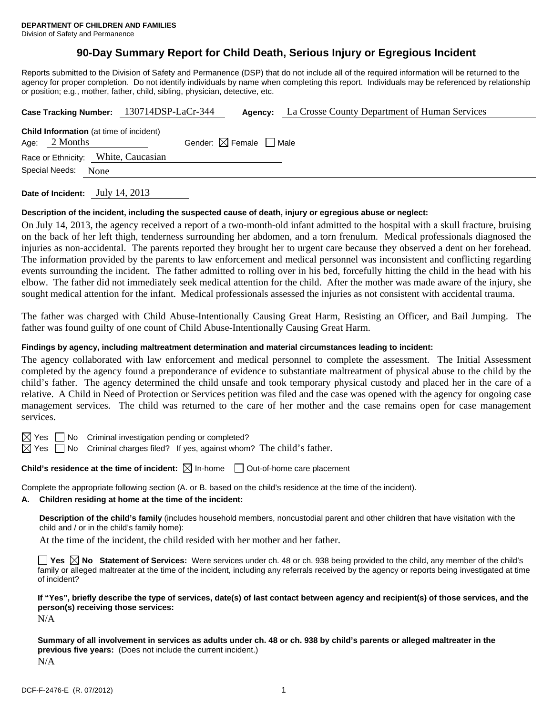# **90-Day Summary Report for Child Death, Serious Injury or Egregious Incident**

Reports submitted to the Division of Safety and Permanence (DSP) that do not include all of the required information will be returned to the agency for proper completion. Do not identify individuals by name when completing this report. Individuals may be referenced by relationship or position; e.g., mother, father, child, sibling, physician, detective, etc.

|                        | Case Tracking Number: 130714DSP-LaCr-344                          |  |                                        | <b>Agency:</b> La Crosse County Department of Human Services |  |  |  |
|------------------------|-------------------------------------------------------------------|--|----------------------------------------|--------------------------------------------------------------|--|--|--|
|                        | <b>Child Information</b> (at time of incident)<br>Age: $2$ Months |  | Gender: $\boxtimes$ Female $\Box$ Male |                                                              |  |  |  |
|                        | Race or Ethnicity: White, Caucasian                               |  |                                        |                                                              |  |  |  |
| Special Needs:<br>None |                                                                   |  |                                        |                                                              |  |  |  |
|                        |                                                                   |  |                                        |                                                              |  |  |  |

**Date of Incident:** July 14, 2013

# **Description of the incident, including the suspected cause of death, injury or egregious abuse or neglect:**

On July 14, 2013, the agency received a report of a two-month-old infant admitted to the hospital with a skull fracture, bruising on the back of her left thigh, tenderness surrounding her abdomen, and a torn frenulum. Medical professionals diagnosed the injuries as non-accidental. The parents reported they brought her to urgent care because they observed a dent on her forehead. The information provided by the parents to law enforcement and medical personnel was inconsistent and conflicting regarding events surrounding the incident. The father admitted to rolling over in his bed, forcefully hitting the child in the head with his elbow. The father did not immediately seek medical attention for the child. After the mother was made aware of the injury, she sought medical attention for the infant. Medical professionals assessed the injuries as not consistent with accidental trauma.

The father was charged with Child Abuse-Intentionally Causing Great Harm, Resisting an Officer, and Bail Jumping. The father was found guilty of one count of Child Abuse-Intentionally Causing Great Harm.

#### **Findings by agency, including maltreatment determination and material circumstances leading to incident:**

The agency collaborated with law enforcement and medical personnel to complete the assessment. The Initial Assessment completed by the agency found a preponderance of evidence to substantiate maltreatment of physical abuse to the child by the child's father. The agency determined the child unsafe and took temporary physical custody and placed her in the care of a relative. A Child in Need of Protection or Services petition was filed and the case was opened with the agency for ongoing case management services. The child was returned to the care of her mother and the case remains open for case management services.

 $\boxtimes$  Yes  $\Box$  No Criminal investigation pending or completed?

 $\boxtimes$  Yes  $\Box$  No Criminal charges filed? If yes, against whom? The child's father.

**Child's residence at the time of incident:**  $\boxtimes$  In-home  $\Box$  Out-of-home care placement

Complete the appropriate following section (A. or B. based on the child's residence at the time of the incident).

# **A. Children residing at home at the time of the incident:**

**Description of the child's family** (includes household members, noncustodial parent and other children that have visitation with the child and / or in the child's family home):

At the time of the incident, the child resided with her mother and her father.

**Yes**  $\boxtimes$  **No** Statement of Services: Were services under ch. 48 or ch. 938 being provided to the child, any member of the child's family or alleged maltreater at the time of the incident, including any referrals received by the agency or reports being investigated at time of incident?

**If "Yes", briefly describe the type of services, date(s) of last contact between agency and recipient(s) of those services, and the person(s) receiving those services:** 

N/A

**Summary of all involvement in services as adults under ch. 48 or ch. 938 by child's parents or alleged maltreater in the previous five years:** (Does not include the current incident.) N/A